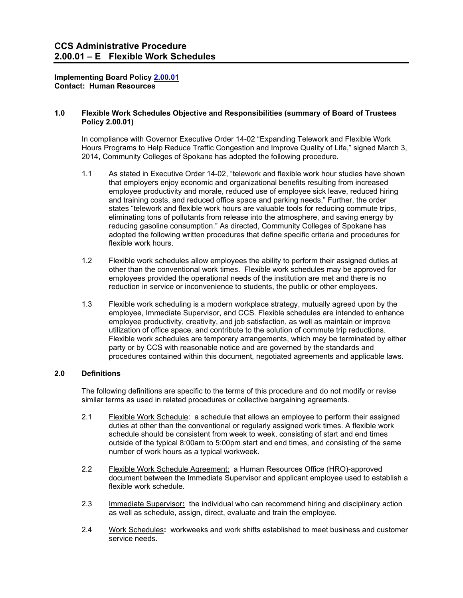**Implementing Board Policy [2.00.01](http://www.ccs.spokane.edu/getdoc/b384d8ce-3dcd-4cbf-9f9d-1a7c869c679a/2-00-01.aspx) Contact: Human Resources**

#### **1.0 Flexible Work Schedules Objective and Responsibilities (summary of Board of Trustees Policy 2.00.01)**

In compliance with Governor Executive Order 14-02 "Expanding Telework and Flexible Work Hours Programs to Help Reduce Traffic Congestion and Improve Quality of Life," signed March 3, 2014, Community Colleges of Spokane has adopted the following procedure.

- 1.1 As stated in Executive Order 14-02, "telework and flexible work hour studies have shown that employers enjoy economic and organizational benefits resulting from increased employee productivity and morale, reduced use of employee sick leave, reduced hiring and training costs, and reduced office space and parking needs." Further, the order states "telework and flexible work hours are valuable tools for reducing commute trips, eliminating tons of pollutants from release into the atmosphere, and saving energy by reducing gasoline consumption." As directed, Community Colleges of Spokane has adopted the following written procedures that define specific criteria and procedures for flexible work hours.
- 1.2 Flexible work schedules allow employees the ability to perform their assigned duties at other than the conventional work times. Flexible work schedules may be approved for employees provided the operational needs of the institution are met and there is no reduction in service or inconvenience to students, the public or other employees.
- 1.3 Flexible work scheduling is a modern workplace strategy, mutually agreed upon by the employee, Immediate Supervisor, and CCS. Flexible schedules are intended to enhance employee productivity, creativity, and job satisfaction, as well as maintain or improve utilization of office space, and contribute to the solution of commute trip reductions. Flexible work schedules are temporary arrangements, which may be terminated by either party or by CCS with reasonable notice and are governed by the standards and procedures contained within this document, negotiated agreements and applicable laws.

### **2.0 Definitions**

The following definitions are specific to the terms of this procedure and do not modify or revise similar terms as used in related procedures or collective bargaining agreements.

- 2.1 Flexible Work Schedule: a schedule that allows an employee to perform their assigned duties at other than the conventional or regularly assigned work times. A flexible work schedule should be consistent from week to week, consisting of start and end times outside of the typical 8:00am to 5:00pm start and end times, and consisting of the same number of work hours as a typical workweek.
- 2.2 Flexible Work Schedule Agreement: a Human Resources Office (HRO)-approved document between the Immediate Supervisor and applicant employee used to establish a flexible work schedule.
- 2.3 Immediate Supervisor**:** the individual who can recommend hiring and disciplinary action as well as schedule, assign, direct, evaluate and train the employee.
- 2.4 Work Schedules**:** workweeks and work shifts established to meet business and customer service needs.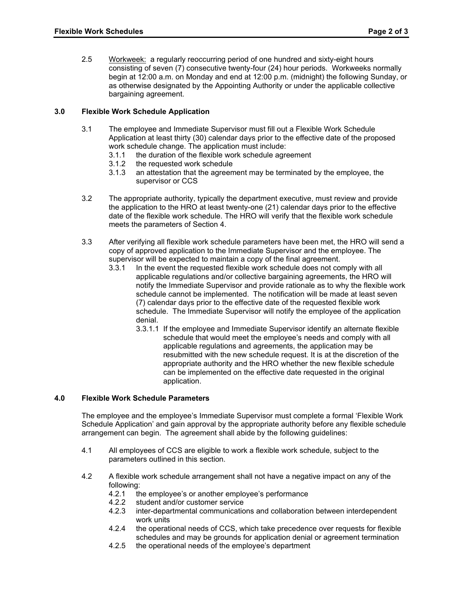2.5 Workweek: a regularly reoccurring period of one hundred and sixty-eight hours consisting of seven (7) consecutive twenty-four (24) hour periods. Workweeks normally begin at 12:00 a.m. on Monday and end at 12:00 p.m. (midnight) the following Sunday, or as otherwise designated by the Appointing Authority or under the applicable collective bargaining agreement.

# **3.0 Flexible Work Schedule Application**

- 3.1 The employee and Immediate Supervisor must fill out a Flexible Work Schedule Application at least thirty (30) calendar days prior to the effective date of the proposed work schedule change. The application must include:<br>3.1.1 the duration of the flexible work schedule agree
	- the duration of the flexible work schedule agreement
	- 3.1.2 the requested work schedule
	- 3.1.3 an attestation that the agreement may be terminated by the employee, the supervisor or CCS
- 3.2 The appropriate authority, typically the department executive, must review and provide the application to the HRO at least twenty-one (21) calendar days prior to the effective date of the flexible work schedule. The HRO will verify that the flexible work schedule meets the parameters of Section 4.
- 3.3 After verifying all flexible work schedule parameters have been met, the HRO will send a copy of approved application to the Immediate Supervisor and the employee. The supervisor will be expected to maintain a copy of the final agreement.<br>3.3.1 In the event the requested flexible work schedule does not com
	- In the event the requested flexible work schedule does not comply with all applicable regulations and/or collective bargaining agreements, the HRO will notify the Immediate Supervisor and provide rationale as to why the flexible work schedule cannot be implemented. The notification will be made at least seven (7) calendar days prior to the effective date of the requested flexible work schedule. The Immediate Supervisor will notify the employee of the application denial.
		- 3.3.1.1 If the employee and Immediate Supervisor identify an alternate flexible schedule that would meet the employee's needs and comply with all applicable regulations and agreements, the application may be resubmitted with the new schedule request. It is at the discretion of the appropriate authority and the HRO whether the new flexible schedule can be implemented on the effective date requested in the original application.

## **4.0 Flexible Work Schedule Parameters**

The employee and the employee's Immediate Supervisor must complete a formal 'Flexible Work Schedule Application' and gain approval by the appropriate authority before any flexible schedule arrangement can begin. The agreement shall abide by the following guidelines:

- 4.1 All employees of CCS are eligible to work a flexible work schedule, subject to the parameters outlined in this section.
- 4.2 A flexible work schedule arrangement shall not have a negative impact on any of the following:<br>4.2.1 th
	- the employee's or another employee's performance
	- 4.2.2 student and/or customer service<br>4.2.3 inter-departmental communication
	- inter-departmental communications and collaboration between interdependent work units
	- 4.2.4 the operational needs of CCS, which take precedence over requests for flexible schedules and may be grounds for application denial or agreement termination
	- 4.2.5 the operational needs of the employee's department